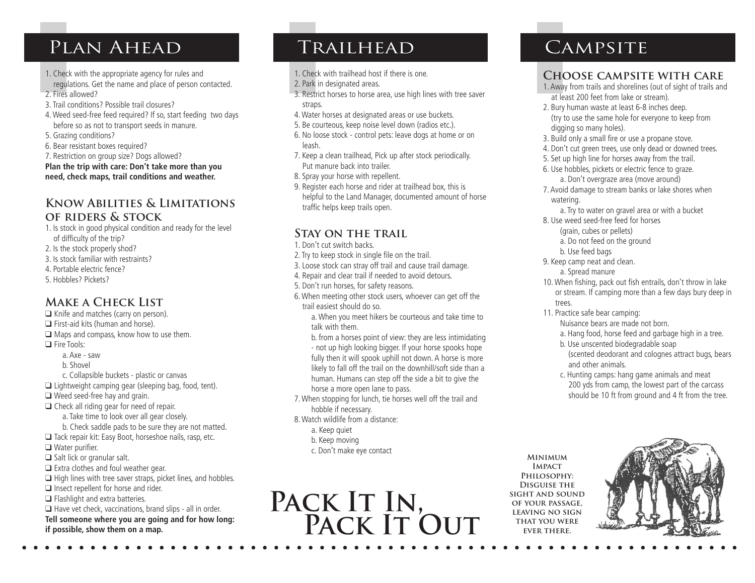# PLAN AHEAD TRAILHEAD CAMPSITE

- 1. Check with the appropriate agency for rules and
- regulations. Get the name and place of person contacted. 2. Fires allowed?
- 3. Trail conditions? Possible trail closures?
- 4. Weed seed-free feed required? If so, start feeding two days before so as not to transport seeds in manure.
- 5. Grazing conditions?
- 6. Bear resistant boxes required?
- 7. Restriction on group size? Dogs allowed?

**Plan the trip with care: Don't take more than you need, check maps, trail conditions and weather.**

#### **Know Abilities & Limitations of riders & stock**

- 1. Is stock in good physical condition and ready for the level of difficulty of the trip?
- 2. Is the stock properly shod?
- 3. Is stock familiar with restraints?
- 4. Portable electric fence?
- 5. Hobbles? Pickets?

### **Make a Check List**

 $\Box$  Knife and matches (carry on person).  $\Box$  First-aid kits (human and horse).  $\Box$  Maps and compass, know how to use them. **Q** Fire Tools: a. Axe - saw b. Shovel c. Collapsible buckets - plastic or canvas  $\Box$  Lightweight camping gear (sleeping bag, food, tent).  $\Box$  Weed seed-free hay and grain.  $\Box$  Check all riding gear for need of repair. a. Take time to look over all gear closely. b. Check saddle pads to be sure they are not matted.  $\Box$  Tack repair kit: Easy Boot, horseshoe nails, rasp, etc.  $\Box$  Water purifier.  $\Box$  Salt lick or granular salt.  $\Box$  Extra clothes and foul weather gear.  $\Box$  High lines with tree saver straps, picket lines, and hobbles.  $\Box$  Insect repellent for horse and rider.  $\Box$  Flashlight and extra batteries.  $\Box$  Have vet check, vaccinations, brand slips - all in order. **Tell someone where you are going and for how long: if possible, show them on a map.**

- 1. Check with trailhead host if there is one.
- 2. Park in designated areas.
- 3. Restrict horses to horse area, use high lines with tree saver straps.
- 4. Water horses at designated areas or use buckets. 5. Be courteous, keep noise level down (radios etc.).
- 
- 6. No loose stock control pets: leave dogs at home or on leash.
- 7. Keep a clean trailhead, Pick up after stock periodically. Put manure back into trailer.
- 8. Spray your horse with repellent.
- 9. Register each horse and rider at trailhead box, this is helpful to the Land Manager, documented amount of horse traffic helps keep trails open.

### **Stay on the trail**

- 1. Don't cut switch backs.
- 2. Try to keep stock in single file on the trail.
- 3. Loose stock can stray off trail and cause trail damage.
- 4. Repair and clear trail if needed to avoid detours.
- 5. Don't run horses, for safety reasons.
- 6. When meeting other stock users, whoever can get off the trail easiest should do so.

a. When you meet hikers be courteous and take time to talk with them.

b. from a horses point of view: they are less intimidating - not up high looking bigger. If your horse spooks hope fully then it will spook uphill not down. A horse is more likely to fall off the trail on the downhill/soft side than a human. Humans can step off the side a bit to give the horse a more open lane to pass.

7. When stopping for lunch, tie horses well off the trail and hobble if necessary.

- 8. Watch wildlife from a distance:
	- a. Keep quiet
	- b. Keep moving
	- c. Don't make eye contact



# **Minimum Impact Philosophy:**

**Disguise the sight and sound of your passage, leaving no sign that you were ever there.**



## **Choose campsite with care**

- 1. Away from trails and shorelines (out of sight of trails and at least 200 feet from lake or stream).
- 2. Bury human waste at least 6-8 inches deep. (try to use the same hole for everyone to keep from digging so many holes).
- 3. Build only a small fire or use a propane stove.
- 4. Don't cut green trees, use only dead or downed trees.
- 5. Set up high line for horses away from the trail.
- 6. Use hobbles, pickets or electric fence to graze. a. Don't overgraze area (move around)
- 7. Avoid damage to stream banks or lake shores when watering.
	- a. Try to water on gravel area or with a bucket
- 8. Use weed seed-free feed for horses
	- (grain, cubes or pellets)
	- a. Do not feed on the ground
	- b. Use feed bags
- 9. Keep camp neat and clean.
	- a. Spread manure
- 10. When fishing, pack out fish entrails, don't throw in lake or stream. If camping more than a few days bury deep in trees.
- 11. Practice safe bear camping:
	- Nuisance bears are made not born.

a. Hang food, horse feed and garbage high in a tree.

- b. Use unscented biodegradable soap (scented deodorant and colognes attract bugs, bears
- and other animals.
- c. Hunting camps: hang game animals and meat 200 yds from camp, the lowest part of the carcass should be 10 ft from ground and 4 ft from the tree.